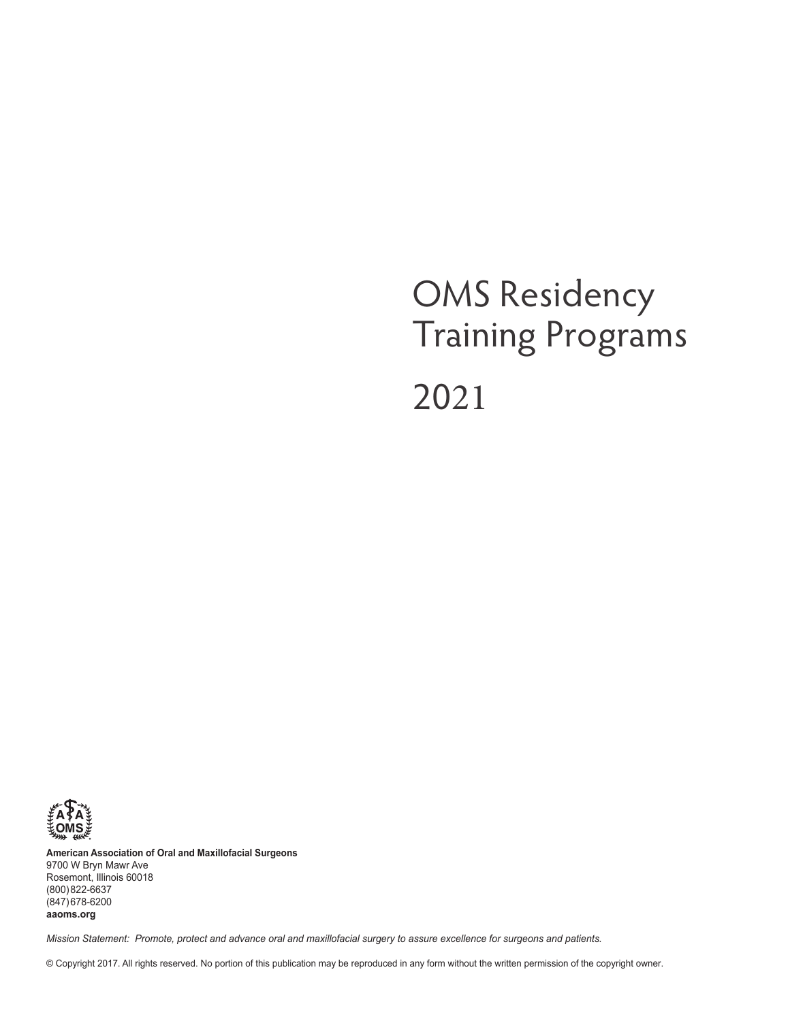# OMS Residency Training Programs 2021



**American Association of Oral and Maxillofacial Surgeons** 9700 W Bryn Mawr Ave Rosemont, Illinois 60018 (800) 822-6637 (847) 678-6200 **aaoms.org**

*Mission Statement: Promote, protect and advance oral and maxillofacial surgery to assure excellence for surgeons and patients.*

© Copyright 2017. All rights reserved. No portion of this publication may be reproduced in any form without the written permission of the copyright owner.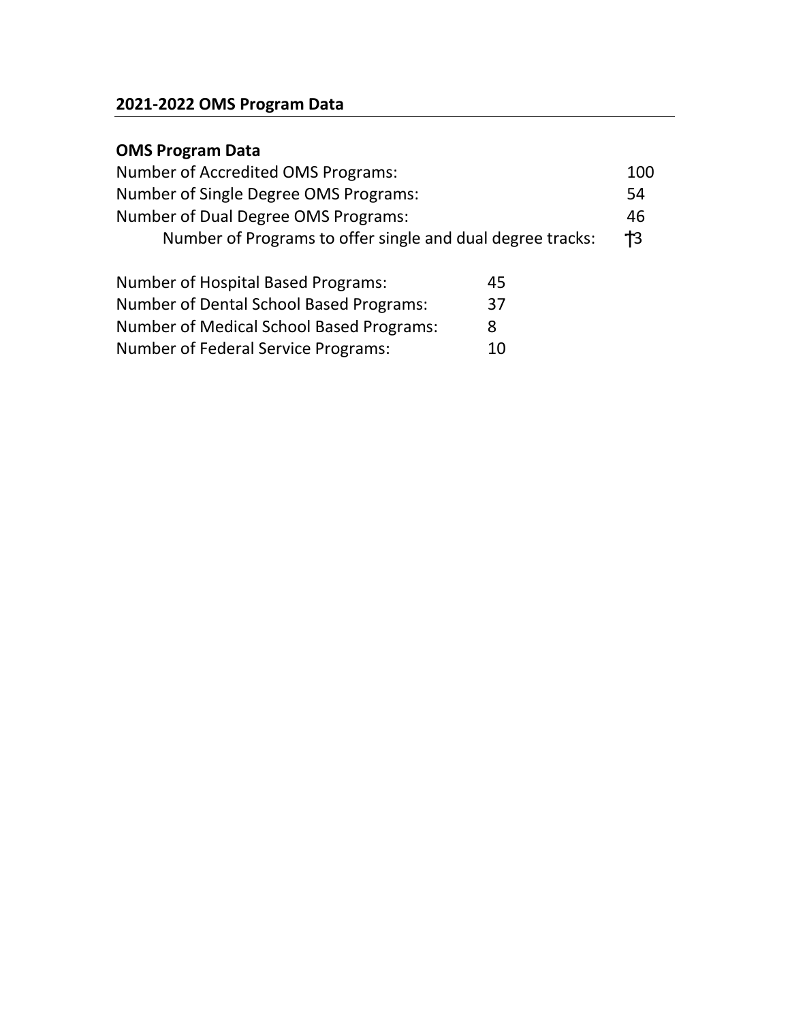# **2021-2022 OMS Program Data**

# **OMS Program Data**

| Number of Accredited OMS Programs:                         | 100 |
|------------------------------------------------------------|-----|
| Number of Single Degree OMS Programs:                      | 54  |
| Number of Dual Degree OMS Programs:                        | 46  |
| Number of Programs to offer single and dual degree tracks: | 3   |
|                                                            |     |

| <b>Number of Hospital Based Programs:</b>  | 45 |
|--------------------------------------------|----|
| Number of Dental School Based Programs:    | 37 |
| Number of Medical School Based Programs:   | 8  |
| <b>Number of Federal Service Programs:</b> | 10 |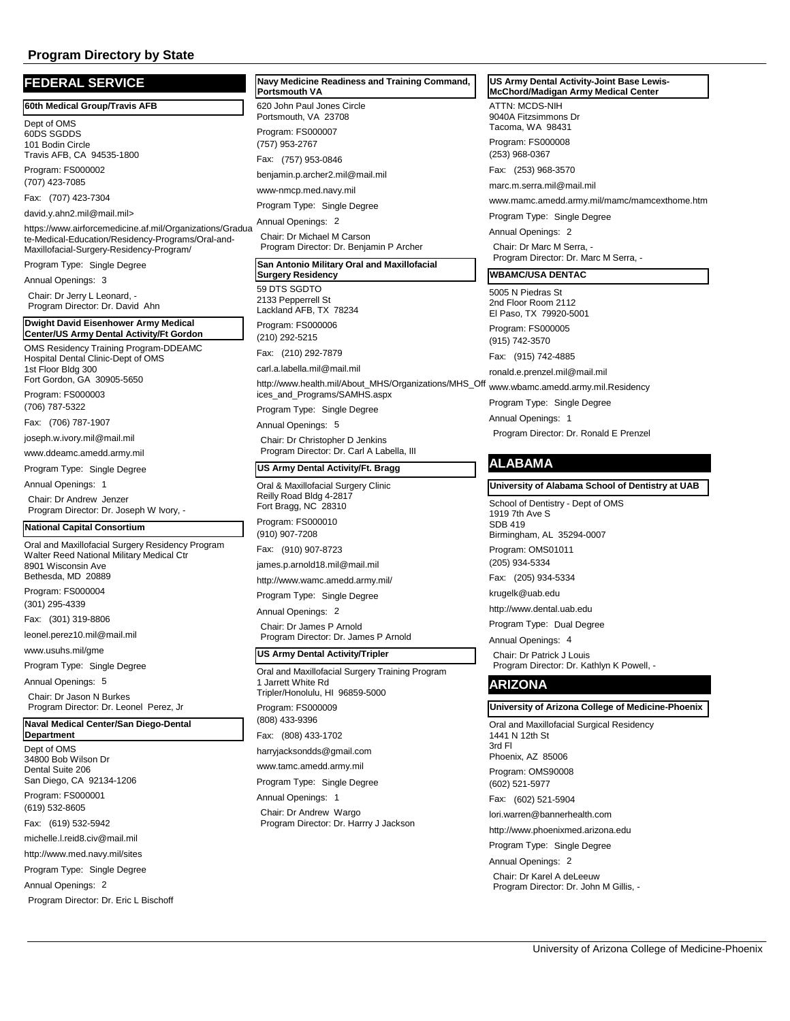| <b>FEDERAL SERVICE</b>                                                                                        | <b>Navy Medic</b><br>Portsmouth          |
|---------------------------------------------------------------------------------------------------------------|------------------------------------------|
| 60th Medical Group/Travis AFB                                                                                 | 620 John Pa                              |
| Dept of OMS<br>60DS SGDDS                                                                                     | Portsmouth,<br>Program: FS               |
| 101 Bodin Circle                                                                                              | (757) 953-27                             |
| Travis AFB, CA 94535-1800                                                                                     | Fax:<br>(757)                            |
| Program: FS000002<br>(707) 423-7085                                                                           | benjamin.p.a                             |
| Fax:<br>(707) 423-7304                                                                                        | www-nmcp.i                               |
| david.y.ahn2.mil@mail.mil>                                                                                    | Program Ty                               |
| https://www.airforcemedicine.af.mil/Organizations/Gradua<br>te-Medical-Education/Residency-Programs/Oral-and- | Annual Oper<br>Chair: Dr M<br>Program Di |
| Maxillofacial-Surgery-Residency-Program/<br>Program Type: Single Degree                                       | San Antoni                               |
| Annual Openings: 3                                                                                            | Surgery Re                               |
| Chair: Dr Jerry L Leonard, -<br>Program Director: Dr. David Ahn                                               | 59 DTS SGI<br>2133 Peppe                 |
| Dwight David Eisenhower Army Medical                                                                          | Lackland AF                              |
| Center/US Army Dental Activity/Ft Gordon                                                                      | Program: FS<br>(210) 292-52              |
| OMS Residency Training Program-DDEAMC<br>Hospital Dental Clinic-Dept of OMS                                   | Fax:<br>(210)                            |
| 1st Floor Bldg 300<br>Fort Gordon, GA 30905-5650                                                              | carl.a.labella                           |
| Program: FS000003                                                                                             | http://www.h<br>ices_and_Pi              |
| (706) 787-5322                                                                                                | Program Ty                               |
| Fax:<br>(706) 787-1907                                                                                        | Annual Oper                              |
| joseph.w.ivory.mil@mail.mil                                                                                   | Chair: Dr C                              |
| www.ddeamc.amedd.army.mil                                                                                     | Program Di                               |
| Program Type: Single Degree                                                                                   | US Army D                                |
| Annual Openings:<br>1<br>Chair: Dr Andrew Jenzer                                                              | Oral & Maxil<br>Reilly Road              |
| Program Director: Dr. Joseph W Ivory, -                                                                       | Fort Bragg,<br>Program: FS               |
| <b>National Capital Consortium</b>                                                                            | (910) 907-72                             |
| Oral and Maxillofacial Surgery Residency Program<br>Walter Reed National Military Medical Ctr                 | Fax:<br>(910)                            |
| 8901 Wisconsin Ave<br>Bethesda, MD 20889                                                                      | james.p.arn                              |
| Program: FS000004                                                                                             | http://www.w                             |
| (301) 295-4339                                                                                                | Program Ty                               |
| Fax:<br>(301) 319-8806                                                                                        | Annual Oper                              |
| leonel.perez10.mil@mail.mil                                                                                   | Chair: Dr Ja<br>Program Di               |
| www.usuhs.mil/gme                                                                                             | US Army D                                |
| Program Type: Single Degree                                                                                   | Oral and Ma                              |
| Annual Openings: 5                                                                                            | 1 Jarrett Wh                             |
| Chair: Dr Jason N Burkes                                                                                      | Tripler/Honc                             |
| Program Director: Dr. Leonel Perez, Jr<br>Naval Medical Center/San Diego-Dental                               | Program: FS<br>(808) 433-93              |
| <b>Department</b>                                                                                             | (808)<br>Fax:                            |
| Dept of OMS<br>34800 Bob Wilson Dr                                                                            | harryjacksor                             |
| Dental Suite 206                                                                                              | www.tamc.a                               |
| San Diego, CA 92134-1206                                                                                      | Program Ty                               |
| Program: FS000001<br>(619) 532-8605                                                                           | <b>Annual Oper</b>                       |
| Fax: (619) 532-5942                                                                                           | Chair: Dr A                              |
| michelle.l.reid8.civ@mail.mil                                                                                 | Program Di                               |
| http://www.med.navy.mil/sites                                                                                 |                                          |
| Program Type: Single Degree                                                                                   |                                          |
| Annual Openings: 2                                                                                            |                                          |
| Program Director: Dr. Eric L Bischoff                                                                         |                                          |
|                                                                                                               |                                          |

# aul Jones Circle VA 23708 Program: FS000007 **Ranglehending Command,**  $\overline{\phantom{a}}$ **Portsmouth VA** 767 953-0846 benjamin.p.archer2.mil@mail.mil med.navv.mil pe: Single Degree hings: 2

lichael M Carson irector: Dr. Benjamin P Archer

## **San Antonio Military Oral and Maxillofacial**

DTO <sub>P</sub>rrell St **B. TX 78234** Program: FS000006 **Surgery Residency**

215 292-7879

a.mil@mail.mil

http://www.health.mil/About\_MHS/Organizations/MHS\_Off www.wbamc.amedd.army.mil.Residency rograms/SAMHS.aspx

pe: Single Degree

hings: 5 Christopher D Jenkins irector: Dr. Carl A Labella, III

#### **<u>Ental Activity/Ft. Bragg</u>**

**Iofacial Surgery Clinic** Bldg 4-2817 NC 28310 Program: FS000010 208

Fax: (910) 907-8723 old18.mil@mail.mil

vamc.amedd.army.mil/

pe: Single Degree

hings: 2 ames P Arnold irector: Dr. James P Arnold

#### **Paral Activity/Tripler**

xillofacial Surgery Training Program ite Rd blulu, HI 96859-5000 Program: FS000009 396 433-1702 ndds@gmail.com

amedd.army.mil pe: Single Degree

hinas: 1

ndrew Wargo irector: Dr. Harrry J Jackson

#### **US Army Dental Activity-Joint Base Lewis-McChord/Madigan Army Medical Center**

ATTN: MCDS-NIH 9040A Fitzsimmons Dr Tacoma, WA 98431 Program: FS000008 (253) 968-0367

Fax: (253) 968-3570

marc.m.serra.mil@mail.mil

www.mamc.amedd.army.mil/mamc/mamcexthome.htm

Program Type: Single Degree

Annual Openings: 2 Chair: Dr Marc M Serra, - Program Director: Dr. Marc M Serra, -

# **WBAMC/USA DENTAC**

5005 N Piedras St 2nd Floor Room 2112 El Paso, TX 79920-5001 Program: FS000005

(915) 742-3570

Fax: (915) 742-4885

ronald.e.prenzel.mil@mail.mil

Program Type: Single Degree

Annual Openings: 1 Program Director: Dr. Ronald E Prenzel

# **ALABAMA**

**University of Alabama School of Dentistry at UAB**

School of Dentistry - Dept of OMS 1919 7th Ave S SDB 419

Birmingham, AL 35294-0007

Program: OMS01011 (205) 934-5334

Fax: (205) 934-5334

krugelk@uab.edu

http://www.dental.uab.edu

Program Type: Dual Degree

Annual Openings: 4 Chair: Dr Patrick J Louis Program Director: Dr. Kathlyn K Powell, -

# **ARIZONA**

#### **University of Arizona College of Medicine-Phoenix**

Oral and Maxillofacial Surgical Residency 1441 N 12th St 3rd Fl Phoenix, AZ 85006 Program: OMS90008 (602) 521-5977

Fax: (602) 521-5904

lori.warren@bannerhealth.com

http://www.phoenixmed.arizona.edu

Program Type: Single Degree

Annual Openings: 2

Chair: Dr Karel A deLeeuw Program Director: Dr. John M Gillis, -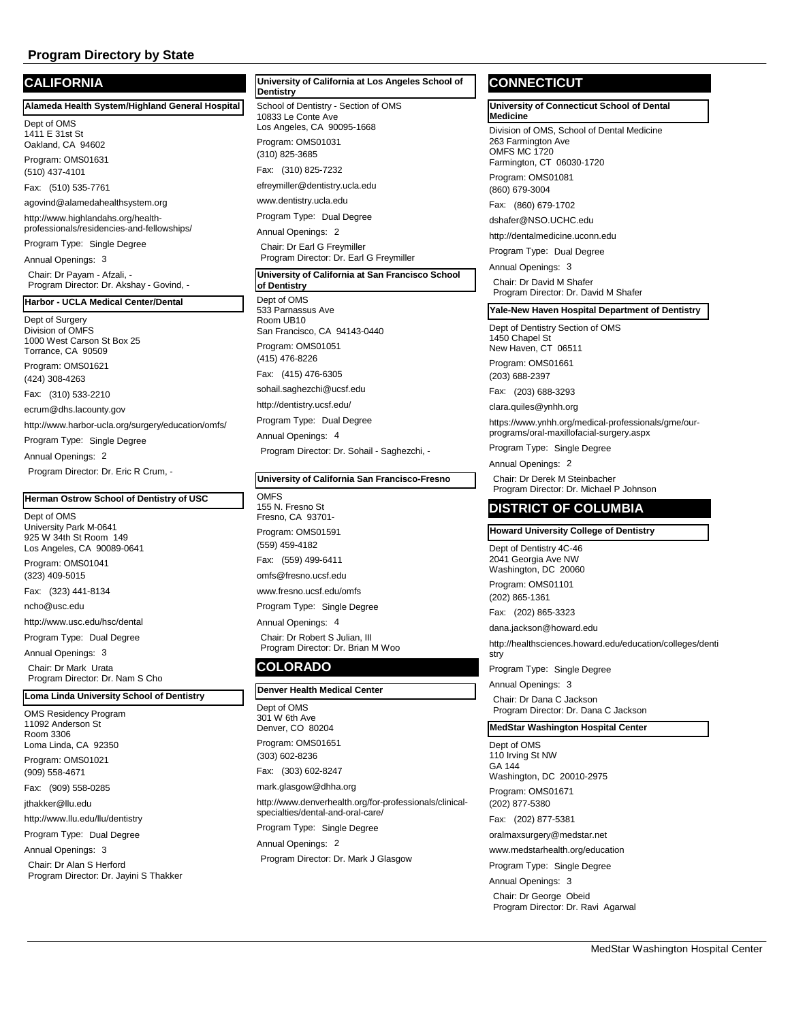# **CALIFORNIA**

**Alameda Health System/Highland General Hospital**

Dept of OMS 1411 E 31st St Oakland, CA 94602

Program: OMS01631 (510) 437-4101

Fax: (510) 535-7761

agovind@alamedahealthsystem.org

http://www.highlandahs.org/healthprofessionals/residencies-and-fellowships/

Program Type: Single Degree

Annual Openings: 3 Chair: Dr Payam - Afzali, - Program Director: Dr. Akshay - Govind, -

#### **Harbor - UCLA Medical Center/Dental**

Dept of Surgery Division of OMFS 1000 West Carson St Box 25 Torrance, CA 90509 Program: OMS01621 (424) 308-4263 Fax: (310) 533-2210 ecrum@dhs.lacounty.gov http://www.harbor-ucla.org/surgery/education/omfs/ Program Type: Single Degree Annual Openings: 2

Program Director: Dr. Eric R Crum, -

# **Herman Ostrow School of Dentistry of USC**

Dept of OMS University Park M-0641 925 W 34th St Room 149 Los Angeles, CA 90089-0641 Program: OMS01041 (323) 409-5015 Fax: (323) 441-8134

ncho@usc.edu

http://www.usc.edu/hsc/dental

Program Type: Dual Degree

Annual Openings: 3

Chair: Dr Mark Urata Program Director: Dr. Nam S Cho

**Loma Linda University School of Dentistry**

OMS Residency Program 11092 Anderson St Room 3306 Loma Linda, CA 92350 Program: OMS01021 (909) 558-4671 Fax: (909) 558-0285 jthakker@llu.edu http://www.llu.edu/llu/dentistry Program Type: Dual Degree Annual Openings: 3 Chair: Dr Alan S Herford Program Director: Dr. Jayini S Thakker School of Dentistry - Section of OMS 10833 Le Conte Ave Los Angeles, CA 90095-1668 Program: OMS01031 **Dentistry** (310) 825-3685 Fax: (310) 825-7232 efreymiller@dentistry.ucla.edu www.dentistry.ucla.edu Program Type: Dual Degree Annual Openings: 2 Chair: Dr Earl G Freymiller Program Director: Dr. Earl G Freymiller Dept of OMS 533 Parnassus Ave **University of California at San Francisco School of Dentistry**

**University of California at Los Angeles School of** 

Room UB10 San Francisco, CA 94143-0440 Program: OMS01051 (415) 476-8226 Fax: (415) 476-6305 sohail.saghezchi@ucsf.edu http://dentistry.ucsf.edu/ Program Type: Dual Degree Annual Openings: 4 Program Director: Dr. Sohail - Saghezchi, -

#### **University of California San Francisco-Fresno**

OMFS 155 N. Fresno St Fresno, CA 93701- Program: OMS01591 (559) 459-4182 Fax: (559) 499-6411 omfs@fresno.ucsf.edu www.fresno.ucsf.edu/omfs

Program Type: Single Degree

Annual Openings: 4 Chair: Dr Robert S Julian, III Program Director: Dr. Brian M Woo

# **COLORADO**

#### **Denver Health Medical Center**

Dept of OMS 301 W 6th Ave Denver, CO 80204 Program: OMS01651 (303) 602-8236 Fax: (303) 602-8247 mark.glasgow@dhha.org http://www.denverhealth.org/for-professionals/clinicalspecialties/dental-and-oral-care/ Program Type: Single Degree Annual Openings: 2 Program Director: Dr. Mark J Glasgow

# **CONNECTICUT**

**University of Connecticut School of Dental Medicine**

Division of OMS, School of Dental Medicine 263 Farmington Ave OMES MC 1720 Farmington, CT 06030-1720

Program: OMS01081 (860) 679-3004

Fax: (860) 679-1702

dshafer@NSO.UCHC.edu

http://dentalmedicine.uconn.edu

Program Type: Dual Degree

Annual Openings: 3 Chair: Dr David M Shafer Program Director: Dr. David M Shafer

**Yale-New Haven Hospital Department of Dentistry**

Dept of Dentistry Section of OMS 1450 Chapel St

New Haven, CT 06511 Program: OMS01661

(203) 688-2397

Fax: (203) 688-3293

clara.quiles@ynhh.org

https://www.ynhh.org/medical-professionals/gme/ourprograms/oral-maxillofacial-surgery.aspx

Program Type: Single Degree

Annual Openings: 2

Chair: Dr Derek M Steinbacher Program Director: Dr. Michael P Johnson

# **DISTRICT OF COLUMBIA**

# **Howard University College of Dentistry**

Dept of Dentistry 4C-46 2041 Georgia Ave NW Washington, DC 20060

Program: OMS01101 (202) 865-1361

Fax: (202) 865-3323

dana.jackson@howard.edu

http://healthsciences.howard.edu/education/colleges/denti stry

Program Type: Single Degree

Annual Openings: 3

Chair: Dr Dana C Jackson Program Director: Dr. Dana C Jackson

#### **MedStar Washington Hospital Center**

Dept of OMS 110 Irving St NW GA 144 Washington, DC 20010-2975 Program: OMS01671 (202) 877-5380 Fax: (202) 877-5381 oralmaxsurgery@medstar.net

www.medstarhealth.org/education

Program Type: Single Degree

Annual Openings: 3

Chair: Dr George Obeid Program Director: Dr. Ravi Agarwal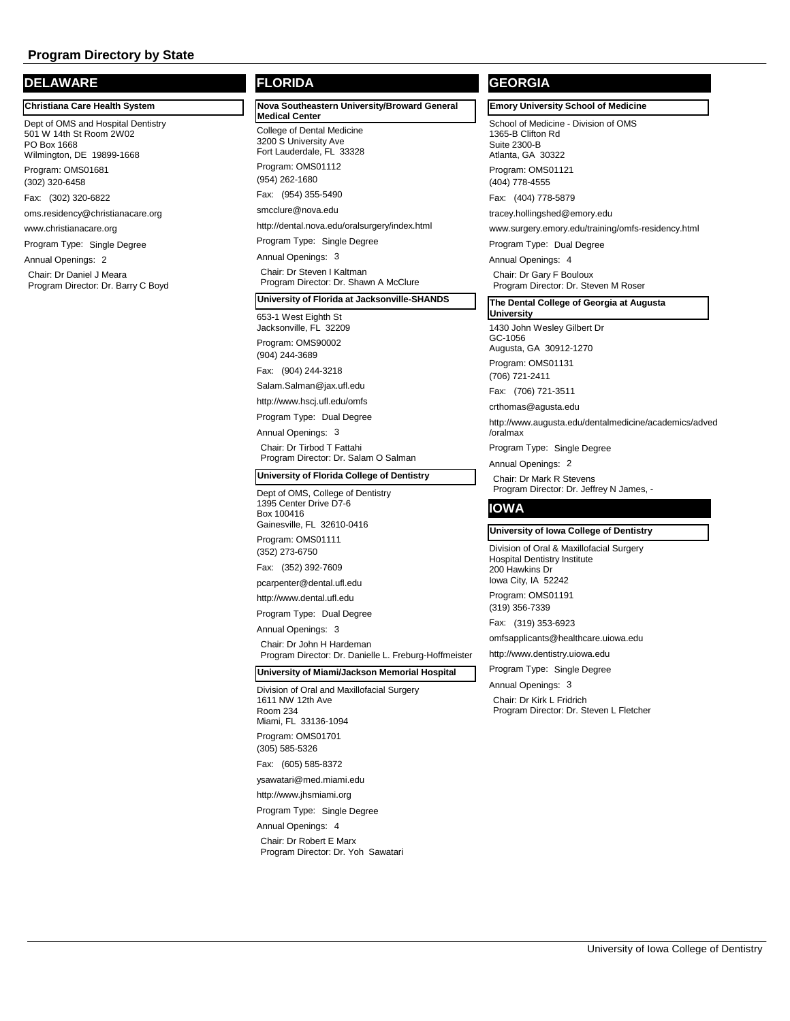# **DELAWARE**

**Christiana Care Health System**

Dept of OMS and Hospital Dentistry 501 W 14th St Room 2W02 PO Box 1668 Wilmington, DE 19899-1668 Program: OMS01681

Fax: (302) 320-6822

(302) 320-6458

oms.residency@christianacare.org

www.christianacare.org

Program Type: Single Degree

Annual Openings: 2 Chair: Dr Daniel J Meara

Program Director: Dr. Barry C Boyd

# **FLORIDA**

College of Dental Medicine 3200 S University Ave Fort Lauderdale, FL 33328 Program: OMS01112 **Nova Southeastern University/Broward General Medical Center** (954) 262-1680 Fax: (954) 355-5490

smcclure@nova.edu

http://dental.nova.edu/oralsurgery/index.html

Program Type: Single Degree

Annual Openings: 3

Chair: Dr Steven I Kaltman Program Director: Dr. Shawn A McClure

#### **University of Florida at Jacksonville-SHANDS**

653-1 West Eighth St Jacksonville, FL 32209 Program: OMS90002 (904) 244-3689

Fax: (904) 244-3218

Salam.Salman@jax.ufl.edu

http://www.hscj.ufl.edu/omfs

Program Type: Dual Degree

Annual Openings: 3

Chair: Dr Tirbod T Fattahi Program Director: Dr. Salam O Salman

#### **University of Florida College of Dentistry**

Dept of OMS, College of Dentistry 1395 Center Drive D7-6 Box 100416 Gainesville, FL 32610-0416

Program: OMS01111 (352) 273-6750

Fax: (352) 392-7609

pcarpenter@dental.ufl.edu

http://www.dental.ufl.edu

Program Type: Dual Degree

Annual Openings: 3

Chair: Dr John H Hardeman Program Director: Dr. Danielle L. Freburg-Hoffmeister

# **University of Miami/Jackson Memorial Hospital**

Division of Oral and Maxillofacial Surgery 1611 NW 12th Ave Room 234 Miami, FL 33136-1094 Program: OMS01701 (305) 585-5326

Fax: (605) 585-8372 ysawatari@med.miami.edu

http://www.jhsmiami.org

Program Type: Single Degree

Annual Openings: 4 Chair: Dr Robert E Marx Program Director: Dr. Yoh Sawatari

# **GEORGIA**

# **Emory University School of Medicine**

School of Medicine - Division of OMS 1365-B Clifton Rd Suite 2300-B Atlanta, GA 30322 Program: OMS01121

(404) 778-4555

Fax: (404) 778-5879

tracey.hollingshed@emory.edu

www.surgery.emory.edu/training/omfs-residency.html

Program Type: Dual Degree

Annual Openings: 4 Chair: Dr Gary F Bouloux Program Director: Dr. Steven M Roser

#### **The Dental College of Georgia at Augusta University**

1430 John Wesley Gilbert Dr

GC-1056

Augusta, GA 30912-1270

Program: OMS01131 (706) 721-2411

Fax: (706) 721-3511

crthomas@agusta.edu

http://www.augusta.edu/dentalmedicine/academics/adved /oralmax

Program Type: Single Degree

Annual Openings: 2

Chair: Dr Mark R Stevens Program Director: Dr. Jeffrey N James, -

# **IOWA**

#### **University of Iowa College of Dentistry**

Division of Oral & Maxillofacial Surgery Hospital Dentistry Institute 200 Hawkins Dr Iowa City, IA 52242 Program: OMS01191

(319) 356-7339

Fax: (319) 353-6923

omfsapplicants@healthcare.uiowa.edu

http://www.dentistry.uiowa.edu

Program Type: Single Degree

Annual Openings: 3

Chair: Dr Kirk L Fridrich Program Director: Dr. Steven L Fletcher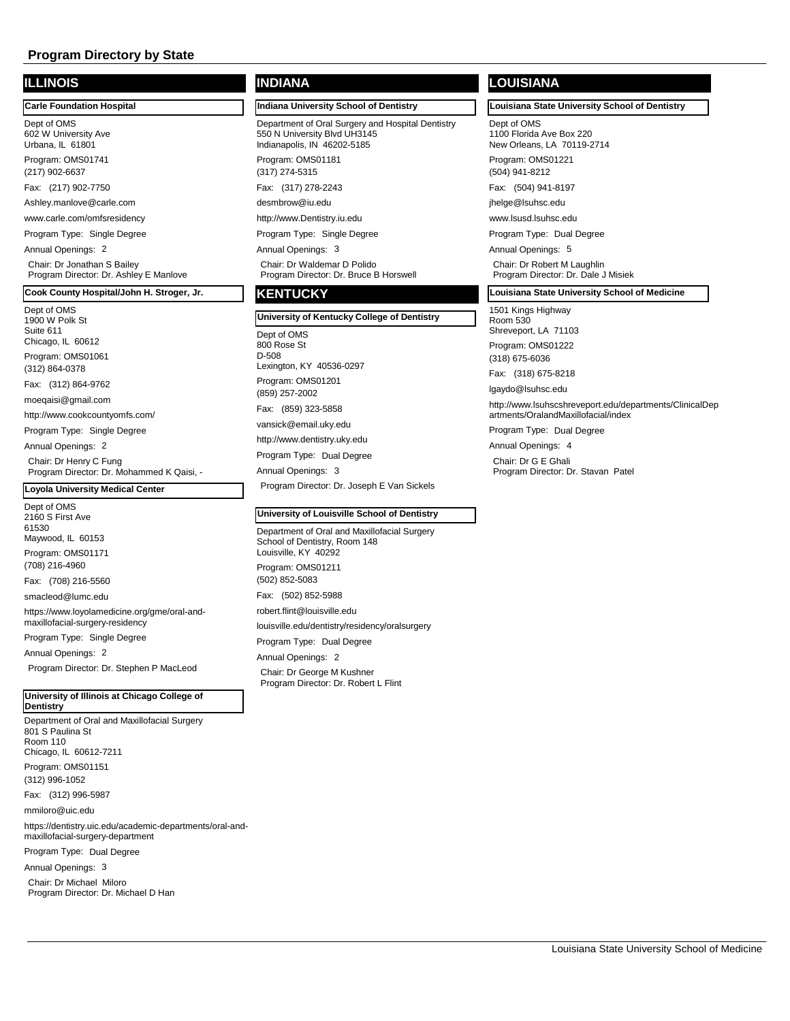# **ILLINOIS**

Dept of OMS 602 W University Ave Urbana, IL 61801 **Carle Foundation Hospital**

Program: OMS01741 (217) 902-6637

Fax: (217) 902-7750

Ashley.manlove@carle.com

www.carle.com/omfsresidency

Program Type: Single Degree

Annual Openings: 2

Chair: Dr Jonathan S Bailey Program Director: Dr. Ashley E Manlove

# **Cook County Hospital/John H. Stroger, Jr.**

Dept of OMS 1900 W Polk St Suite 611 Chicago, IL 60612 Program: OMS01061 (312) 864-0378 Fax: (312) 864-9762 moeqaisi@gmail.com http://www.cookcountyomfs.com/ Program Type: Single Degree Annual Openings: 2 Chair: Dr Henry C Fung

Program Director: Dr. Mohammed K Qaisi, -

# **Loyola University Medical Center**

Dept of OMS 2160 S First Ave 61530 Maywood, IL 60153 Program: OMS01171 (708) 216-4960 Fax: (708) 216-5560 smacleod@lumc.edu https://www.loyolamedicine.org/gme/oral-andmaxillofacial-surgery-residency Program Type: Single Degree

Annual Openings: 2

Program Director: Dr. Stephen P MacLeod

**University of Illinois at Chicago College of Dentistry**

Department of Oral and Maxillofacial Surgery 801 S Paulina St Room 110 Chicago, IL 60612-7211 Program: OMS01151 (312) 996-1052 Fax: (312) 996-5987 mmiloro@uic.edu https://dentistry.uic.edu/academic-departments/oral-andmaxillofacial-surgery-department Program Type: Dual Degree Annual Openings: 3

Chair: Dr Michael Miloro

Program Director: Dr. Michael D Han

# **INDIANA**

**Indiana University School of Dentistry**

Department of Oral Surgery and Hospital Dentistry 550 N University Blvd UH3145 Indianapolis, IN 46202-5185 Program: OMS01181

(317) 274-5315 Fax: (317) 278-2243

desmbrow@iu.edu

http://www.Dentistry.iu.edu

Program Type: Single Degree

Annual Openings: 3 Chair: Dr Waldemar D Polido Program Director: Dr. Bruce B Horswell

# **KENTUCKY**

# Dept of OMS 800 Rose St D-508 Lexington, KY 40536-0297 Program: OMS01201 **University of Kentucky College of Dentistry**  (859) 257-2002 Fax: (859) 323-5858 vansick@email.uky.edu http://www.dentistry.uky.edu Program Type: Dual Degree Annual Openings: 3

Program Director: Dr. Joseph E Van Sickels

#### **University of Louisville School of Dentistry**

Department of Oral and Maxillofacial Surgery School of Dentistry, Room 148 Louisville, KY 40292 Program: OMS01211 (502) 852-5083 Fax: (502) 852-5988 robert.flint@louisville.edu louisville.edu/dentistry/residency/oralsurgery Program Type: Dual Degree Annual Openings: 2 Chair: Dr George M Kushner Program Director: Dr. Robert L Flint

# **LOUISIANA**

**Louisiana State University School of Dentistry**

Dept of OMS 1100 Florida Ave Box 220 New Orleans, LA 70119-2714

Program: OMS01221 (504) 941-8212

Fax: (504) 941-8197

jhelge@lsuhsc.edu

www.lsusd.lsuhsc.edu

Program Type: Dual Degree

Annual Openings: 5 Chair: Dr Robert M Laughlin Program Director: Dr. Dale J Misiek

**Louisiana State University School of Medicine**

#### 1501 Kings Highway

Room 530 Shreveport, LA 71103 Program: OMS01222

(318) 675-6036

Fax: (318) 675-8218

lgaydo@lsuhsc.edu

http://www.lsuhscshreveport.edu/departments/ClinicalDep artments/OralandMaxillofacial/index

Program Type: Dual Degree

Annual Openings: 4

Chair: Dr G E Ghali Program Director: Dr. Stavan Patel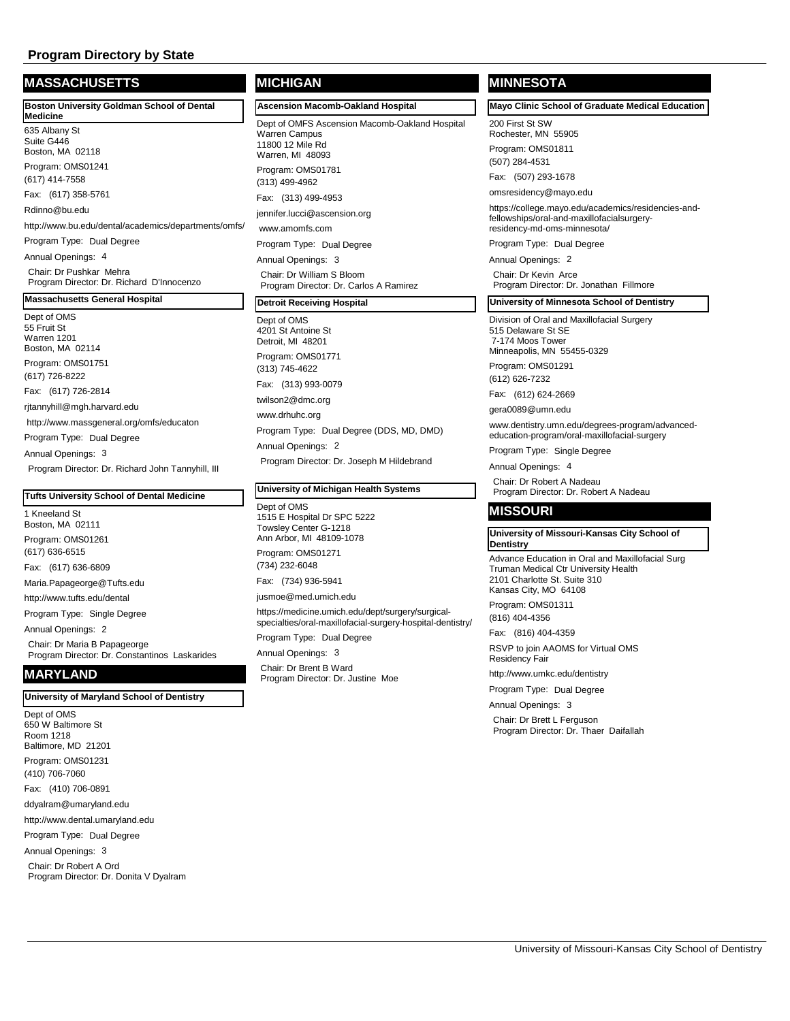# **MASSACHUSETTS**

| <b>Boston University Goldman School of Dental</b>                    | Ascensi                                        |
|----------------------------------------------------------------------|------------------------------------------------|
| <b>Medicine</b><br>635 Albany St<br>Suite G446<br>Boston, MA 02118   | Dept of C<br>Warren C<br>11800 12<br>Warren, I |
| Program: OMS01241<br>(617) 414-7558                                  | Program:<br>(313) 499                          |
| Fax: (617) 358-5761                                                  | Fax: (31                                       |
| Rdinno@bu.edu                                                        | jennifer.lu                                    |
| http://www.bu.edu/dental/academics/departments/omfs/                 | www.am                                         |
| Program Type: Dual Degree                                            | Program                                        |
| Annual Openings: 4                                                   | Annual C                                       |
| Chair: Dr Pushkar Mehra<br>Program Director: Dr. Richard D'Innocenzo | Chair: D<br>Program                            |
| <b>Massachusetts General Hospital</b>                                | <b>Detroit F</b>                               |

Dept of OMS 55 Fruit St Warren 1201 Boston, MA 02114 Program: OMS01751 (617) 726-8222 Fax: (617) 726-2814 rjtannyhill@mgh.harvard.edu http://www.massgeneral.org/omfs/educaton Program Type: Dual Degree Annual Openings: 3 Program Director: Dr. Richard John Tannyhill, III

#### **Tufts University School of Dental Medicine**

1 Kneeland St Boston, MA 02111 Program: OMS01261 (617) 636-6515 Fax: (617) 636-6809 Maria.Papageorge@Tufts.edu http://www.tufts.edu/dental Program Type: Single Degree Annual Openings: 2 Chair: Dr Maria B Papageorge

Program Director: Dr. Constantinos Laskarides **MARYLAND**

#### **University of Maryland School of Dentistry**

Dept of OMS 650 W Baltimore St Room 1218 Baltimore, MD 21201 Program: OMS01231 (410) 706-7060 Fax: (410) 706-0891 ddyalram@umaryland.edu http://www.dental.umaryland.edu Program Type: Dual Degree Annual Openings: 3 Chair: Dr Robert A Ord

Program Director: Dr. Donita V Dyalram

# **MICHIGAN**

**Ascension Macomb-Oakland Hospital**

**DMFS Ascension Macomb-Oakland Hospital** Campus Mile Rd MI 48093 Program: OMS01781 3-4962 13) 499-4953 ucci@ascension.org omfs.com Type: Dual Degree benings: 3 **I**r William S Bloom n Director: Dr. Carlos A Ramirez

#### **Receiving Hospital**

Dept of OMS 4201 St Antoine St Detroit, MI 48201 Program: OMS01771 (313) 745-4622 Fax: (313) 993-0079 twilson2@dmc.org www.drhuhc.org Program Type: Dual Degree (DDS, MD, DMD) Annual Openings: 2 Program Director: Dr. Joseph M Hildebrand

#### **University of Michigan Health Systems**

Dept of OMS 1515 E Hospital Dr SPC 5222 Towsley Center G-1218 Ann Arbor, MI 48109-1078 Program: OMS01271 (734) 232-6048 Fax: (734) 936-5941

jusmoe@med.umich.edu

https://medicine.umich.edu/dept/surgery/surgicalspecialties/oral-maxillofacial-surgery-hospital-dentistry/

Program Type: Dual Degree

Annual Openings: 3 Chair: Dr Brent B Ward Program Director: Dr. Justine Moe

# **MINNESOTA**

**Mayo Clinic School of Graduate Medical Education**

200 First St SW Rochester, MN 55905

Program: OMS01811 (507) 284-4531

Fax: (507) 293-1678

omsresidency@mayo.edu

https://college.mayo.edu/academics/residencies-andfellowships/oral-and-maxillofacialsurgeryresidency-md-oms-minnesota/

Program Type: Dual Degree

Annual Openings: 2

Chair: Dr Kevin Arce Program Director: Dr. Jonathan Fillmore

#### **University of Minnesota School of Dentistry**

Division of Oral and Maxillofacial Surgery 515 Delaware St SE 7-174 Moos Tower Minneapolis, MN 55455-0329

Program: OMS01291

(612) 626-7232

Fax: (612) 624-2669

gera0089@umn.edu

www.dentistry.umn.edu/degrees-program/advancededucation-program/oral-maxillofacial-surgery

Program Type: Single Degree

Annual Openings: 4

Chair: Dr Robert A Nadeau Program Director: Dr. Robert A Nadeau

#### **MISSOURI**

#### **University of Missouri-Kansas City School of Dentistry**

Advance Education in Oral and Maxillofacial Surg Truman Medical Ctr University Health 2101 Charlotte St. Suite 310 Kansas City, MO 64108

Program: OMS01311 (816) 404-4356

Fax: (816) 404-4359

RSVP to join AAOMS for Virtual OMS Residency Fair

http://www.umkc.edu/dentistry

Program Type: Dual Degree

Annual Openings: 3

Chair: Dr Brett L Ferguson Program Director: Dr. Thaer Daifallah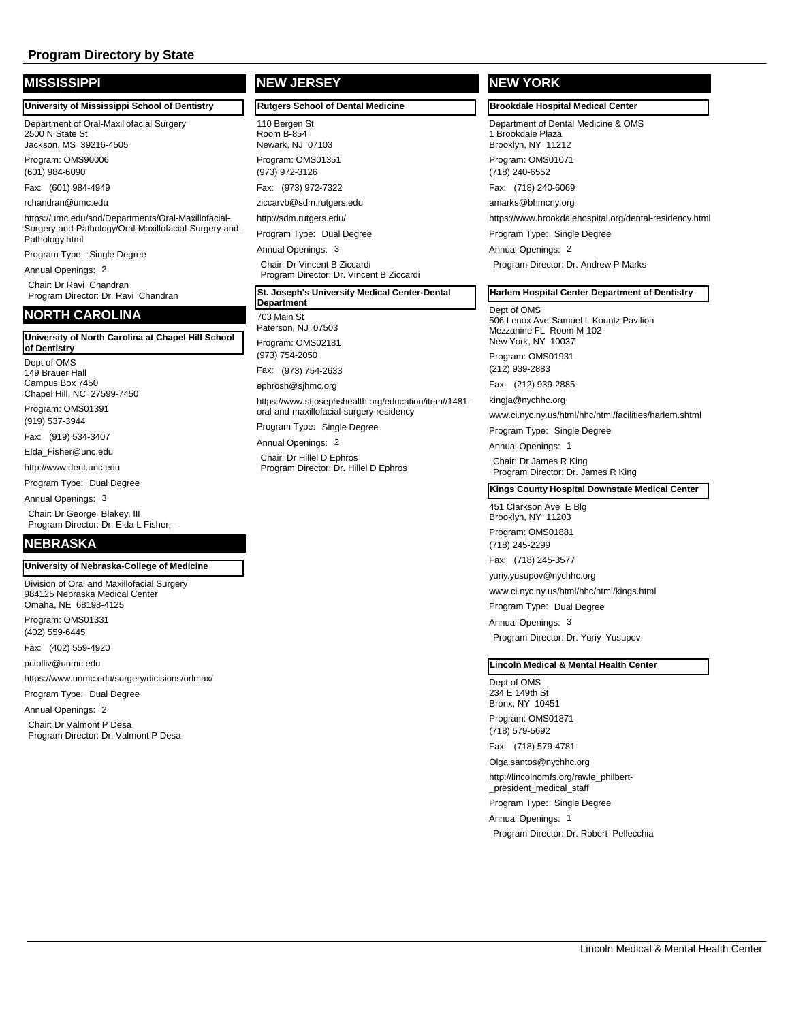| <b>MISSISSIPPI</b>                                                                    | <b>NEW JERSEY</b>                                                                                 | <b>NEW YORK</b>                                                    |  |
|---------------------------------------------------------------------------------------|---------------------------------------------------------------------------------------------------|--------------------------------------------------------------------|--|
| University of Mississippi School of Dentistry                                         | <b>Rutgers School of Dental Medicine</b>                                                          | <b>Brookdale Hospital Med</b>                                      |  |
| Department of Oral-Maxillofacial Surgery<br>2500 N State St<br>Jackson, MS 39216-4505 | 110 Bergen St<br>Room B-854<br>Newark, NJ 07103                                                   | Department of Dental Me<br>1 Brookdale Plaza<br>Brooklyn, NY 11212 |  |
| Program: OMS90006<br>(601) 984-6090                                                   | Program: OMS01351<br>(973) 972-3126                                                               | Program: OMS01071<br>(718) 240-6552                                |  |
| Fax: (601) 984-4949                                                                   | Fax: (973) 972-7322                                                                               | Fax: (718) 240-6069                                                |  |
| rchandran@umc.edu                                                                     | ziccarvb@sdm.rutgers.edu                                                                          | amarks@bhmcny.org                                                  |  |
| https://umc.edu/sod/Departments/Oral-Maxillofacial-                                   | http://sdm.rutgers.edu/                                                                           | https://www.brookdalehos                                           |  |
| Surgery-and-Pathology/Oral-Maxillofacial-Surgery-and-<br>Pathology.html               | Program Type: Dual Degree                                                                         | Program Type: Single De                                            |  |
| Program Type: Single Degree                                                           | Annual Openings: 3                                                                                | Annual Openings: 2                                                 |  |
| Annual Openings: 2                                                                    | Chair: Dr Vincent B Ziccardi<br>Program Director: Dr. Vincent B Ziccardi                          | Program Director: Dr. Ar                                           |  |
| Chair: Dr Ravi Chandran<br>Program Director: Dr. Ravi Chandran                        | St. Joseph's University Medical Center-Dental<br>Department                                       | <b>Harlem Hospital Center</b>                                      |  |
| <b>NORTH CAROLINA</b>                                                                 | 703 Main St<br>Paterson, NJ 07503                                                                 | Dept of OMS<br>506 Lenox Ave-Samuel L<br>Mezzanine FL Room M-1     |  |
| University of North Carolina at Chapel Hill School<br>of Dentistry                    | Program: OMS02181<br>(973) 754-2050                                                               | New York, NY 10037<br>Program: OMS01931                            |  |
| Dept of OMS<br>149 Brauer Hall                                                        | Fax: (973) 754-2633                                                                               | (212) 939-2883                                                     |  |
| Campus Box 7450                                                                       | ephrosh@sjhmc.org                                                                                 | Fax: (212) 939-2885                                                |  |
| Chapel Hill, NC 27599-7450<br>Program: OMS01391                                       | https://www.stjosephshealth.org/education/item//1481-<br>oral-and-maxillofacial-surgery-residency | kingja@nychhc.org<br>www.ci.nyc.ny.us/html/hh                      |  |
| (919) 537-3944                                                                        | Program Type: Single Degree                                                                       | Program Type: Single De                                            |  |
| Fax: (919) 534-3407                                                                   | Annual Openings: 2                                                                                | Annual Openings: 1                                                 |  |
| Elda Fisher@unc.edu<br>http://www.dent.unc.edu                                        | Chair: Dr Hillel D Ephros<br>Program Director: Dr. Hillel D Ephros                                | Chair: Dr James R King<br>Program Director: Dr. Ja                 |  |

Program Type: Dual Degree

Annual Openings: 3

Chair: Dr George Blakey, III Program Director: Dr. Elda L Fisher, -

# **NEBRASKA**

**University of Nebraska-College of Medicine**

Division of Oral and Maxillofacial Surgery 984125 Nebraska Medical Center Omaha, NE 68198-4125 Program: OMS01331 (402) 559-6445 Fax: (402) 559-4920

pctolliv@unmc.edu

https://www.unmc.edu/surgery/dicisions/orlmax/

Program Type: Dual Degree

Annual Openings: 2 Chair: Dr Valmont P Desa Program Director: Dr. Valmont P Desa

# **Brookdale Hospital Medical Center**

dicine & OMS

spital.org/dental-residency.html

egree

ndrew P Marks

## **Department of Dentistry**

. Kountz Pavilion<br>102 Mezzanine FL Room M-102

c/html/facilities/harlem.shtml

earee

Program Director: Dr. James R King

#### **Kings County Hospital Downstate Medical Center**

451 Clarkson Ave E Blg Brooklyn, NY 11203

Program: OMS01881

(718) 245-2299

Fax: (718) 245-3577

yuriy.yusupov@nychhc.org

www.ci.nyc.ny.us/html/hhc/html/kings.html

Program Type: Dual Degree

Annual Openings: 3 Program Director: Dr. Yuriy Yusupov

#### **Lincoln Medical & Mental Health Center**

Dept of OMS 234 E 149th St Bronx, NY 10451 Program: OMS01871 (718) 579-5692

Fax: (718) 579-4781

Olga.santos@nychhc.org http://lincolnomfs.org/rawle\_philbert- \_president\_medical\_staff Program Type: Single Degree

Annual Openings: 1 Program Director: Dr. Robert Pellecchia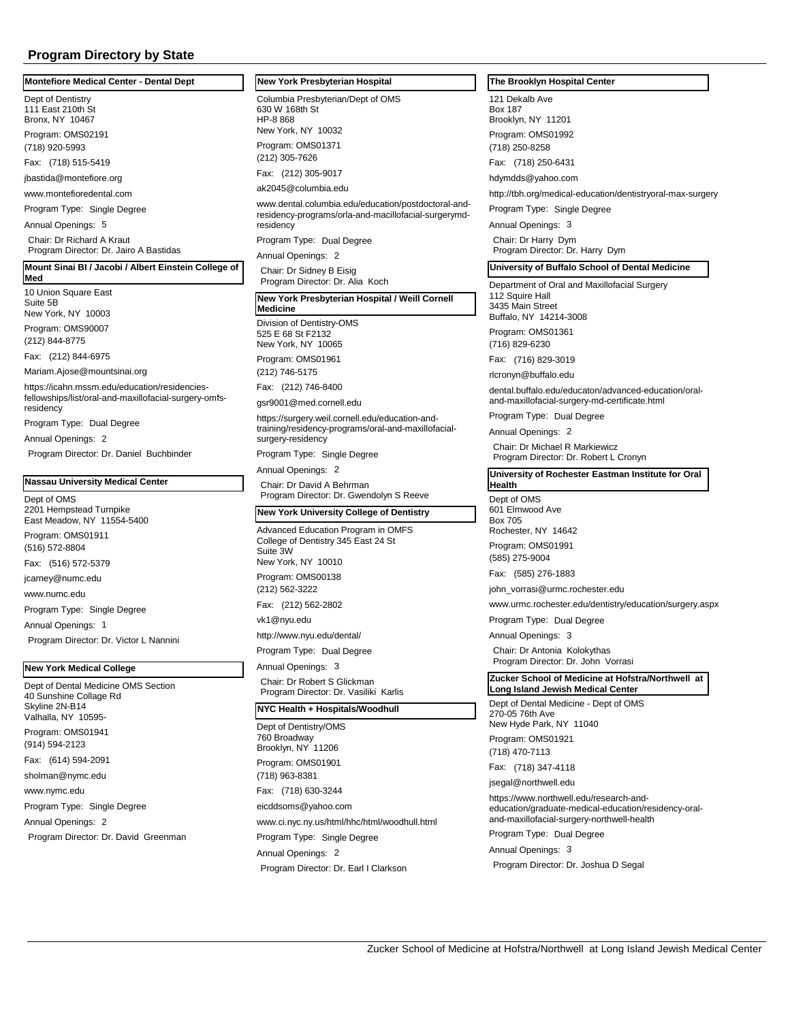#### **Montefiore Medical Center - Dental Dept**

Dept of Dentistry 111 East 210th St Bronx, NY 10467

Program: OMS02191 (718) 920-5993

Fax: (718) 515-5419

jbastida@montefiore.org

www.montefioredental.com

Program Type: Single Degree

Annual Openings: 5

Chair: Dr Richard A Kraut Program Director: Dr. Jairo A Bastidas

#### **Mount Sinai BI / Jacobi / Albert Einstein College of Med**

10 Union Square East Suite 5B New York, NY 10003

Program: OMS90007 (212) 844-8775

Fax: (212) 844-6975

Mariam.Ajose@mountsinai.org

https://icahn.mssm.edu/education/residenciesfellowships/list/oral-and-maxillofacial-surgery-omfsresidency

Program Type: Dual Degree

Annual Openings: 2

Program Director: Dr. Daniel Buchbinder

#### **Nassau University Medical Center**

Dept of OMS 2201 Hempstead Turnpike East Meadow, NY 11554-5400 Program: OMS01911 (516) 572-8804 Fax: (516) 572-5379 jcarney@numc.edu www.numc.edu Program Type: Single Degree Annual Openings: 1 Program Director: Dr. Victor L Nannini

# **New York Medical College**

Dept of Dental Medicine OMS Section 40 Sunshine Collage Rd Skyline 2N-B14 Valhalla, NY 10595 Program: OMS01941 (914) 594-2123 Fax: (614) 594-2091 sholman@nymc.edu www.nymc.edu Program Type: Single Degree Annual Openings: 2 Program Director: Dr. David Greenman

#### **New York Presbyterian Hospital**

Columbia Presbyterian/Dept of OMS 630 W 168th St HP-8 868 New York, NY 10032 Program: OMS01371 (212) 305-7626 Fax: (212) 305-9017

ak2045@columbia.edu

www.dental.columbia.edu/education/postdoctoral-andresidency-programs/orla-and-macillofacial-surgerymdresidency

Program Type: Dual Degree

Annual Openings: 2

Chair: Dr Sidney B Eisig Program Director: Dr. Alia Koch

#### Division of Dentistry-OMS **New York Presbyterian Hospital / Weill Cornell Medicine**

525 E 68 St F2132 New York, NY 10065 Program: OMS01961 (212) 746-5175

Fax: (212) 746-8400

gsr9001@med.cornell.edu https://surgery.weil.cornell.edu/education-andtraining/residency-programs/oral-and-maxillofacial-

surgery-residency Program Type: Single Degree

Annual Openings: 2

Chair: Dr David A Behrman Program Director: Dr. Gwendolyn S Reeve

#### **New York University College of Dentistry**

Advanced Education Program in OMFS College of Dentistry 345 East 24 St Suite 3W New York, NY 10010 Program: OMS00138 (212) 562-3222 Fax: (212) 562-2802 vk1@nyu.edu http://www.nyu.edu/dental/ Program Type: Dual Degree

Annual Openings: 3 Chair: Dr Robert S Glickman Program Director: Dr. Vasiliki Karlis

# **NYC Health + Hospitals/Woodhull**

Dept of Dentistry/OMS 760 Broadway Brooklyn, NY 11206 Program: OMS01901 (718) 963-8381 Fax: (718) 630-3244 eicddsoms@yahoo.com www.ci.nyc.ny.us/html/hhc/html/woodhull.html Program Type: Single Degree Annual Openings: 2 Program Director: Dr. Earl I Clarkson

#### **The Brooklyn Hospital Center**

121 Dekalb Ave Box 187 Brooklyn, NY 11201 Program: OMS01992 (718) 250-8258

Fax: (718) 250-6431

hdymdds@yahoo.com

http://tbh.org/medical-education/dentistryoral-max-surgery

Program Type: Single Degree

Annual Openings: 3

Chair: Dr Harry Dym Program Director: Dr. Harry Dym

#### **University of Buffalo School of Dental Medicine**

Department of Oral and Maxillofacial Surgery 112 Squire Hall 3435 Main Street Buffalo, NY 14214-3008

Program: OMS01361

(716) 829-6230

Fax: (716) 829-3019 rlcronyn@buffalo.edu

dental.buffalo.edu/educaton/advanced-education/oraland-maxillofacial-surgery-md-certificate.html

Program Type: Dual Degree

Annual Openings: 2

Chair: Dr Michael R Markiewicz Program Director: Dr. Robert L Cronyn

**University of Rochester Eastman Institute for Oral Health**

Dept of OMS

601 Elmwood Ave Box 705

Rochester, NY 14642 Program: OMS01991

(585) 275-9004

Fax: (585) 276-1883

john\_vorrasi@urmc.rochester.edu

www.urmc.rochester.edu/dentistry/education/surgery.aspx

Program Type: Dual Degree

Annual Openings: 3 Chair: Dr Antonia Kolokythas Program Director: Dr. John Vorrasi

#### **Zucker School of Medicine at Hofstra/Northwell at Long Island Jewish Medical Center**

Dept of Dental Medicine - Dept of OMS 270-05 76th Ave New Hyde Park, NY 11040

Program: OMS01921

(718) 470-7113

Fax: (718) 347-4118

jsegal@northwell.edu

https://www.northwell.edu/research-andeducation/graduate-medical-education/residency-oraland-maxillofacial-surgery-northwell-health

Program Type: Dual Degree

Annual Openings: 3

Program Director: Dr. Joshua D Segal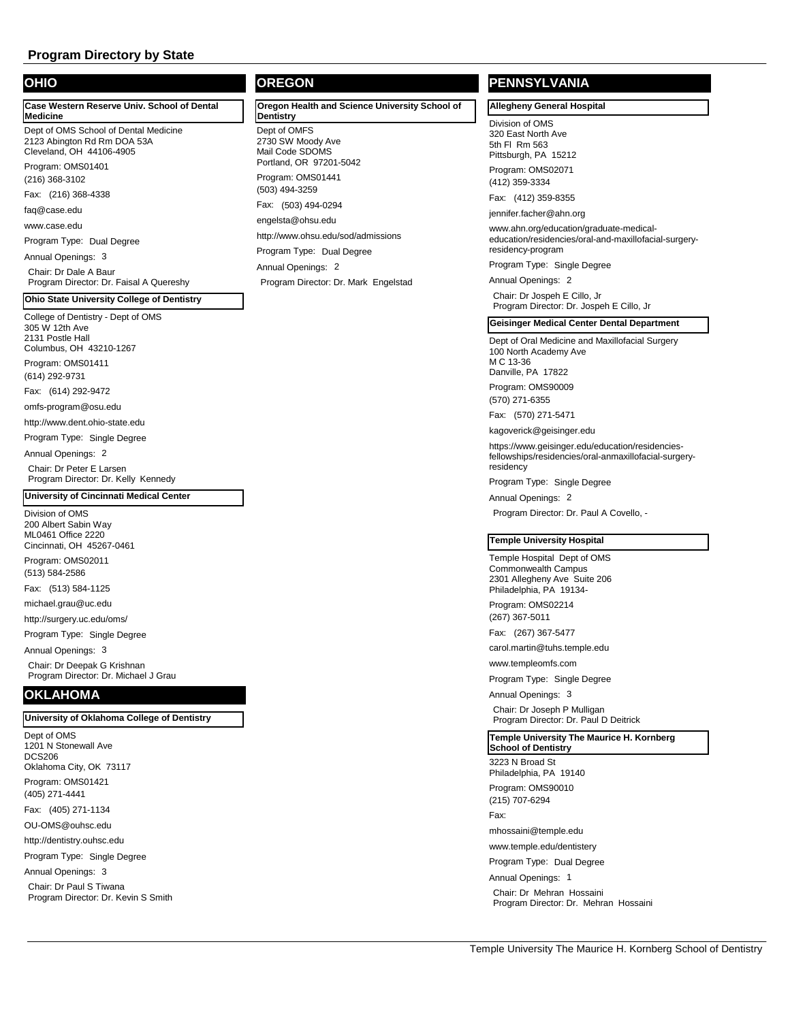# **OHIO**

**Case Western Reserve Univ. School of Dental Medicine**

Dept of OMS School of Dental Medicine 2123 Abington Rd Rm DOA 53A Cleveland, OH 44106-4905

Program: OMS01401 (216) 368-3102

Fax: (216) 368-4338

faq@case.edu

www.case.edu

Program Type: Dual Degree

Annual Openings: 3

Chair: Dr Dale A Baur Program Director: Dr. Faisal A Quereshy

# **Ohio State University College of Dentistry**

College of Dentistry - Dept of OMS 305 W 12th Ave 2131 Postle Hall

Columbus, OH 43210-1267 Program: OMS01411

(614) 292-9731

Fax: (614) 292-9472

omfs-program@osu.edu

http://www.dent.ohio-state.edu

Program Type: Single Degree

Annual Openings: 2

Chair: Dr Peter E Larsen Program Director: Dr. Kelly Kennedy

#### **University of Cincinnati Medical Center**

Division of OMS 200 Albert Sabin Way ML0461 Office 2220 Cincinnati, OH 45267-0461

Program: OMS02011 (513) 584-2586

Fax: (513) 584-1125

michael.grau@uc.edu

http://surgery.uc.edu/oms/

Program Type: Single Degree

Annual Openings: 3

Chair: Dr Deepak G Krishnan Program Director: Dr. Michael J Grau

# **OKLAHOMA**

#### **University of Oklahoma College of Dentistry**

Dept of OMS 1201 N Stonewall Ave DCS206 Oklahoma City, OK 73117 Program: OMS01421 (405) 271-4441 Fax: (405) 271-1134 OU-OMS@ouhsc.edu http://dentistry.ouhsc.edu Program Type: Single Degree Annual Openings: 3 Chair: Dr Paul S Tiwana Program Director: Dr. Kevin S Smith **OREGON**

Dept of OMFS 2730 SW Moody Ave Mail Code SDOMS Portland, OR 97201-5042 Program: OMS01441 **Oregon Health and Science University School of Dentistry**  (503) 494-3259 Fax: (503) 494-0294 engelsta@ohsu.edu http://www.ohsu.edu/sod/admissions Program Type: Dual Degree Annual Openings: 2 Program Director: Dr. Mark Engelstad

# **PENNSYLVANIA**

# **Allegheny General Hospital**

Division of OMS 320 East North Ave 5th Fl Rm 563 Pittsburgh, PA 15212 Program: OMS02071 (412) 359-3334

Fax: (412) 359-8355

jennifer.facher@ahn.org

www.ahn.org/education/graduate-medicaleducation/residencies/oral-and-maxillofacial-surgeryresidency-program

Program Type: Single Degree

Annual Openings: 2 Chair: Dr Jospeh E Cillo, Jr Program Director: Dr. Jospeh E Cillo, Jr

#### **Geisinger Medical Center Dental Department**

Dept of Oral Medicine and Maxillofacial Surgery 100 North Academy Ave M C 13-36 Danville, PA 17822

Program: OMS90009 (570) 271-6355

Fax: (570) 271-5471

kagoverick@geisinger.edu

https://www.geisinger.edu/education/residenciesfellowships/residencies/oral-anmaxillofacial-surgeryresidency

Program Type: Single Degree

Annual Openings: 2

Program Director: Dr. Paul A Covello, -

#### **Temple University Hospital**

Temple Hospital Dept of OMS Commonwealth Campus 2301 Allegheny Ave Suite 206 Philadelphia, PA 19134-

Program: OMS02214 (267) 367-5011

Fax: (267) 367-5477

carol.martin@tuhs.temple.edu

www.templeomfs.com

Program Type: Single Degree

Annual Openings: 3

Chair: Dr Joseph P Mulligan Program Director: Dr. Paul D Deitrick

**Temple University The Maurice H. Kornberg School of Dentistry**

3223 N Broad St Philadelphia, PA 19140

Program: OMS90010

(215) 707-6294

Fax:

mhossaini@temple.edu

www.temple.edu/dentistery

Program Type: Dual Degree

Annual Openings: 1

Chair: Dr Mehran Hossaini Program Director: Dr. Mehran Hossaini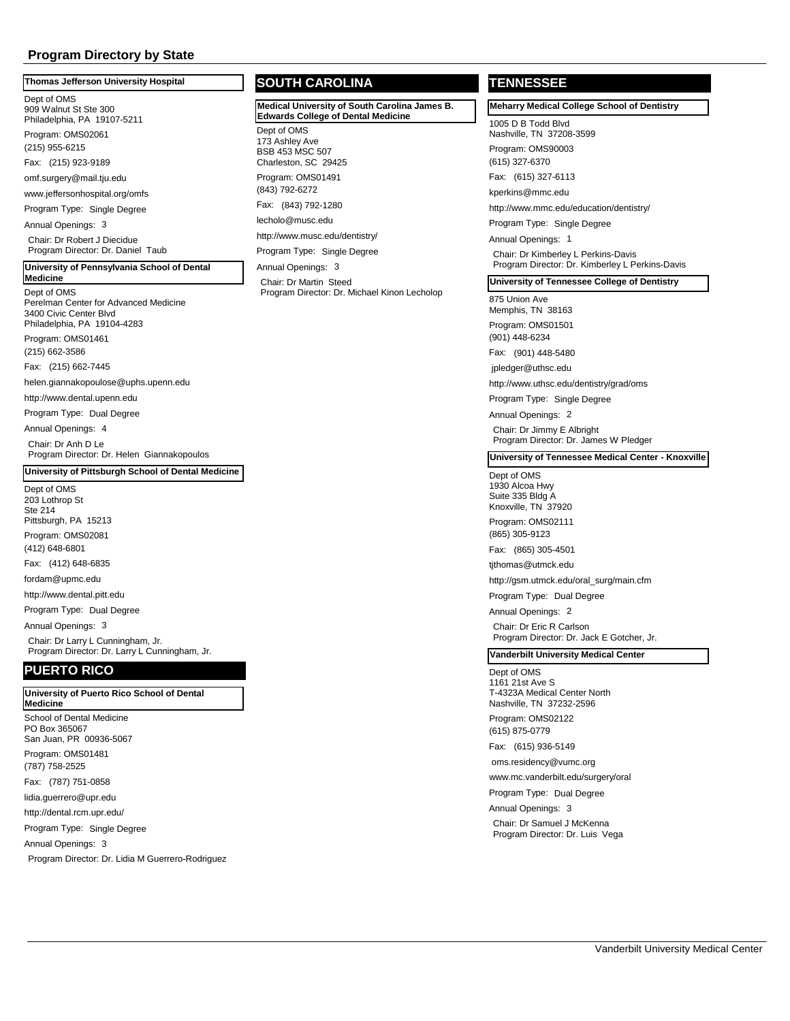#### **Thomas Jefferson University Hospital**

Dept of OMS

909 Walnut St Ste 300 Philadelphia, PA 19107-5211 Program: OMS02061

(215) 955-6215

Fax: (215) 923-9189

omf.surgery@mail.tju.edu

www.jeffersonhospital.org/omfs

Program Type: Single Degree

Annual Openings: 3

Chair: Dr Robert J Diecidue Program Director: Dr. Daniel Taub

#### **University of Pennsylvania School of Dental**

#### Dept of OMS **Medicine**

Perelman Center for Advanced Medicine 3400 Civic Center Blvd Philadelphia, PA 19104-4283 Program: OMS01461 (215) 662-3586

Fax: (215) 662-7445

helen.giannakopoulose@uphs.upenn.edu

http://www.dental.upenn.edu

Program Type: Dual Degree

Annual Openings: 4 Chair: Dr Anh D Le

Program Director: Dr. Helen Giannakopoulos

#### **University of Pittsburgh School of Dental Medicine**

Dept of OMS 203 Lothrop St Ste 214 Pittsburgh, PA 15213 Program: OMS02081

(412) 648-6801

Fax: (412) 648-6835

fordam@upmc.edu

http://www.dental.pitt.edu

Program Type: Dual Degree

Annual Openings: 3

Chair: Dr Larry L Cunningham, Jr. Program Director: Dr. Larry L Cunningham, Jr.

# **PUERTO RICO**

#### **University of Puerto Rico School of Dental Medicine**

School of Dental Medicine PO Box 365067 San Juan, PR 00936-5067

Program: OMS01481 (787) 758-2525

Fax: (787) 751-0858

lidia.guerrero@upr.edu

http://dental.rcm.upr.edu/

Program Type: Single Degree

Annual Openings: 3

Program Director: Dr. Lidia M Guerrero-Rodriguez

# **SOUTH CAROLINA**

**Medical University of South Carolina James B. Edwards College of Dental Medicine**

Dept of OMS 173 Ashley Ave BSB 453 MSC 507 Charleston, SC 29425 Program: OMS01491 (843) 792-6272 Fax: (843) 792-1280 lecholo@musc.edu http://www.musc.edu/dentistry/

Program Type: Single Degree Annual Openings: 3

Chair: Dr Martin Steed Program Director: Dr. Michael Kinon Lecholop

# **TENNESSEE**

**Meharry Medical College School of Dentistry**

1005 D B Todd Blvd Nashville, TN 37208-3599

Program: OMS90003 (615) 327-6370

Fax: (615) 327-6113

kperkins@mmc.edu

http://www.mmc.edu/education/dentistry/

Program Type: Single Degree

Annual Openings: 1 Chair: Dr Kimberley L Perkins-Davis Program Director: Dr. Kimberley L Perkins-Davis

#### **University of Tennessee College of Dentistry**

875 Union Ave Memphis, TN 38163

Program: OMS01501 (901) 448-6234

Fax: (901) 448-5480

jpledger@uthsc.edu

http://www.uthsc.edu/dentistry/grad/oms

Program Type: Single Degree

Annual Openings: 2 Chair: Dr Jimmy E Albright Program Director: Dr. James W Pledger

#### **University of Tennessee Medical Center - Knoxville**

#### Dept of OMS

1930 Alcoa Hwy Suite 335 Bldg A Knoxville, TN 37920 Program: OMS02111

(865) 305-9123

Fax: (865) 305-4501

tjthomas@utmck.edu

http://gsm.utmck.edu/oral\_surg/main.cfm

Program Type: Dual Degree

Annual Openings: 2 Chair: Dr Eric R Carlson Program Director: Dr. Jack E Gotcher, Jr.

# **Vanderbilt University Medical Center**

# Dept of OMS

1161 21st Ave S T-4323A Medical Center North Nashville, TN 37232-2596 Program: OMS02122

(615) 875-0779

Fax: (615) 936-5149

oms.residency@vumc.org

www.mc.vanderbilt.edu/surgery/oral

Program Type: Dual Degree

Annual Openings: 3 Chair: Dr Samuel J McKenna Program Director: Dr. Luis Vega